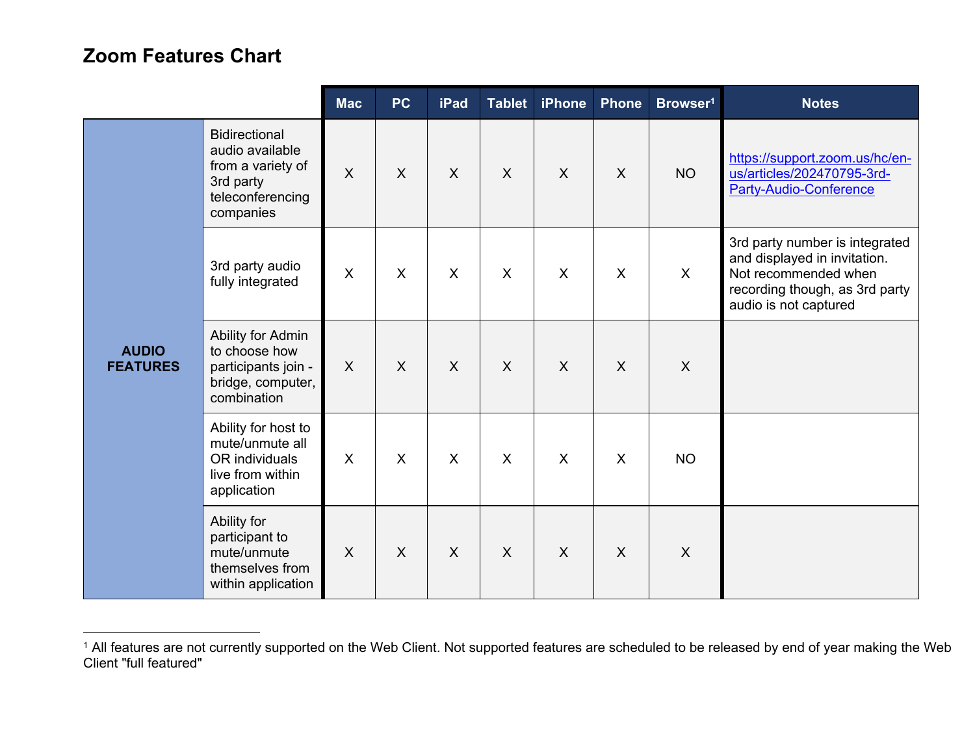## **Zoom Features Chart**

|                                 |                                                                                                            | <b>Mac</b> | <b>PC</b>    | <b>iPad</b>  | <b>Tablet</b>             | <b>iPhone</b> | Phone        | Browser <sup>1</sup> | <b>Notes</b>                                                                                                                                      |
|---------------------------------|------------------------------------------------------------------------------------------------------------|------------|--------------|--------------|---------------------------|---------------|--------------|----------------------|---------------------------------------------------------------------------------------------------------------------------------------------------|
| <b>AUDIO</b><br><b>FEATURES</b> | <b>Bidirectional</b><br>audio available<br>from a variety of<br>3rd party<br>teleconferencing<br>companies | $\sf X$    | $\mathsf{X}$ | $\sf X$      | $\sf X$                   | $\sf X$       | $\mathsf{X}$ | <b>NO</b>            | https://support.zoom.us/hc/en-<br>us/articles/202470795-3rd-<br><b>Party-Audio-Conference</b>                                                     |
|                                 | 3rd party audio<br>fully integrated                                                                        | X          | X            | $\mathsf{X}$ | $\boldsymbol{\mathsf{X}}$ | $\mathsf{X}$  | X            | X                    | 3rd party number is integrated<br>and displayed in invitation.<br>Not recommended when<br>recording though, as 3rd party<br>audio is not captured |
|                                 | Ability for Admin<br>to choose how<br>participants join -<br>bridge, computer,<br>combination              | $\sf X$    | $\sf X$      | $\sf X$      | $\sf X$                   | $\sf X$       | $\mathsf{X}$ | $\sf X$              |                                                                                                                                                   |
|                                 | Ability for host to<br>mute/unmute all<br>OR individuals<br>live from within<br>application                | X          | X            | $\mathsf{X}$ | $\sf X$                   | $\sf X$       | X            | <b>NO</b>            |                                                                                                                                                   |
|                                 | Ability for<br>participant to<br>mute/unmute<br>themselves from<br>within application                      | X          | X            | $\sf X$      | $\sf X$                   | $\sf X$       | X            | X                    |                                                                                                                                                   |

<sup>&</sup>lt;sup>1</sup> All features are not currently supported on the Web Client. Not supported features are scheduled to be released by end of year making the Web Client "full featured"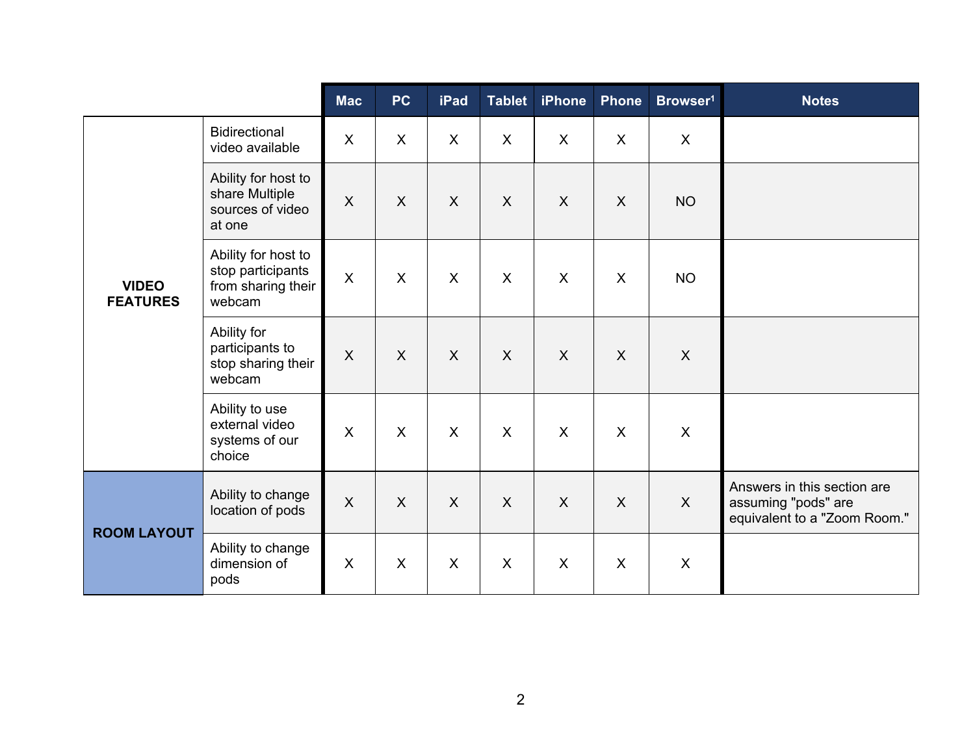|                                 |                                                                          | <b>Mac</b>                | <b>PC</b>                 | iPad                    | <b>Tablet</b>             | <b>iPhone</b> | <b>Phone</b> | Browser <sup>1</sup>      | <b>Notes</b>                                                                       |
|---------------------------------|--------------------------------------------------------------------------|---------------------------|---------------------------|-------------------------|---------------------------|---------------|--------------|---------------------------|------------------------------------------------------------------------------------|
| <b>VIDEO</b><br><b>FEATURES</b> | <b>Bidirectional</b><br>video available                                  | X                         | $\boldsymbol{\mathsf{X}}$ | X                       | $\boldsymbol{\mathsf{X}}$ | X             | $\mathsf{X}$ | $\boldsymbol{\mathsf{X}}$ |                                                                                    |
|                                 | Ability for host to<br>share Multiple<br>sources of video<br>at one      | $\mathsf{X}$              | $\boldsymbol{X}$          | $\mathsf{X}$            | $\sf X$                   | $\sf X$       | $\sf X$      | <b>NO</b>                 |                                                                                    |
|                                 | Ability for host to<br>stop participants<br>from sharing their<br>webcam | $\boldsymbol{\mathsf{X}}$ | X                         | X                       | $\boldsymbol{\mathsf{X}}$ | X             | X            | <b>NO</b>                 |                                                                                    |
|                                 | Ability for<br>participants to<br>stop sharing their<br>webcam           | $\sf X$                   | $\sf X$                   | $\overline{\mathsf{X}}$ | $\sf X$                   | $\sf X$       | $\sf X$      | $\boldsymbol{\mathsf{X}}$ |                                                                                    |
|                                 | Ability to use<br>external video<br>systems of our<br>choice             | $\sf X$                   | $\sf X$                   | $\mathsf{X}$            | $\sf X$                   | $\sf X$       | $\sf X$      | $\sf X$                   |                                                                                    |
| <b>ROOM LAYOUT</b>              | Ability to change<br>location of pods                                    | $\sf X$                   | $\boldsymbol{X}$          | $\mathsf{X}$            | $\sf X$                   | $\sf X$       | $\sf X$      | X                         | Answers in this section are<br>assuming "pods" are<br>equivalent to a "Zoom Room." |
|                                 | Ability to change<br>dimension of<br>pods                                | $\sf X$                   | $\boldsymbol{\mathsf{X}}$ | $\sf X$                 | $\sf X$                   | $\sf X$       | X            | X                         |                                                                                    |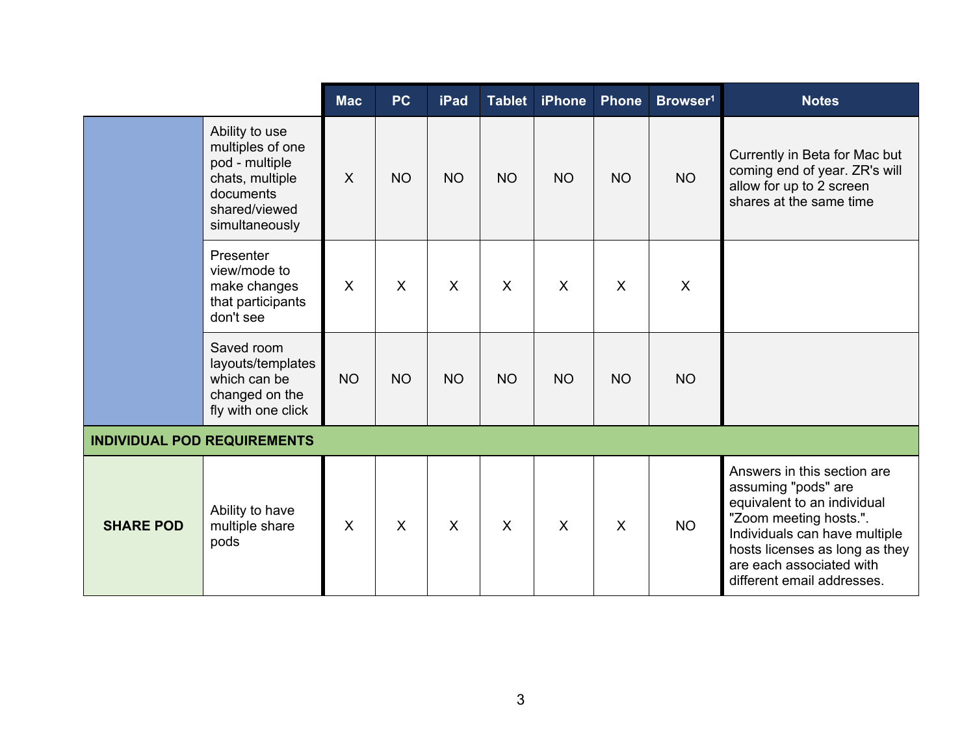|                                    |                                                                                                                         | <b>Mac</b> | <b>PC</b> | iPad                    | <b>Tablet</b> | <b>iPhone</b> | Phone        | Browser <sup>1</sup>      | <b>Notes</b>                                                                                                                                                                                                                             |
|------------------------------------|-------------------------------------------------------------------------------------------------------------------------|------------|-----------|-------------------------|---------------|---------------|--------------|---------------------------|------------------------------------------------------------------------------------------------------------------------------------------------------------------------------------------------------------------------------------------|
|                                    | Ability to use<br>multiples of one<br>pod - multiple<br>chats, multiple<br>documents<br>shared/viewed<br>simultaneously | $\sf X$    | <b>NO</b> | <b>NO</b>               | <b>NO</b>     | <b>NO</b>     | <b>NO</b>    | <b>NO</b>                 | Currently in Beta for Mac but<br>coming end of year. ZR's will<br>allow for up to 2 screen<br>shares at the same time                                                                                                                    |
|                                    | Presenter<br>view/mode to<br>make changes<br>that participants<br>don't see                                             | X          | $\sf X$   | $\overline{\mathsf{X}}$ | $\sf X$       | $\mathsf{X}$  | X            | $\boldsymbol{\mathsf{X}}$ |                                                                                                                                                                                                                                          |
|                                    | Saved room<br>layouts/templates<br>which can be<br>changed on the<br>fly with one click                                 | <b>NO</b>  | <b>NO</b> | <b>NO</b>               | <b>NO</b>     | <b>NO</b>     | <b>NO</b>    | <b>NO</b>                 |                                                                                                                                                                                                                                          |
| <b>INDIVIDUAL POD REQUIREMENTS</b> |                                                                                                                         |            |           |                         |               |               |              |                           |                                                                                                                                                                                                                                          |
| <b>SHARE POD</b>                   | Ability to have<br>multiple share<br>pods                                                                               | X          | $\sf X$   | $\mathsf{X}$            | $\sf X$       | $\mathsf{X}$  | $\mathsf{X}$ | <b>NO</b>                 | Answers in this section are<br>assuming "pods" are<br>equivalent to an individual<br>"Zoom meeting hosts.".<br>Individuals can have multiple<br>hosts licenses as long as they<br>are each associated with<br>different email addresses. |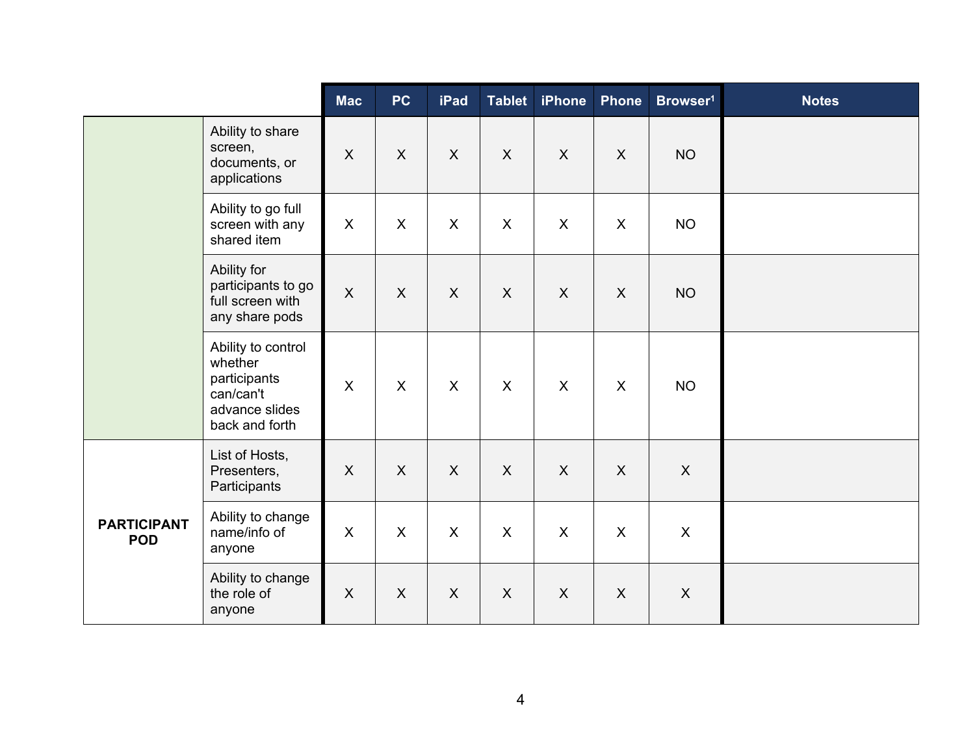|                                  |                                                                                                | <b>Mac</b>                | <b>PC</b>                 | iPad           | <b>Tablet</b> | <b>iPhone</b>             | <b>Phone</b>     | Browser <sup>1</sup>      | <b>Notes</b> |
|----------------------------------|------------------------------------------------------------------------------------------------|---------------------------|---------------------------|----------------|---------------|---------------------------|------------------|---------------------------|--------------|
|                                  | Ability to share<br>screen,<br>documents, or<br>applications                                   | $\boldsymbol{\mathsf{X}}$ | $\boldsymbol{\mathsf{X}}$ | $\mathsf{X}$   | $\mathsf{X}$  | $\mathsf{X}$              | $\mathsf{X}$     | <b>NO</b>                 |              |
|                                  | Ability to go full<br>screen with any<br>shared item                                           | $\mathsf{X}$              | $\mathsf{X}$              | $\mathsf{X}$   | X             | X                         | $\mathsf{X}$     | <b>NO</b>                 |              |
|                                  | Ability for<br>participants to go<br>full screen with<br>any share pods                        | $\boldsymbol{\mathsf{X}}$ | $\mathsf{X}$              | $\mathsf{X}$   | $\mathsf{X}$  | $\mathsf{X}$              | $\boldsymbol{X}$ | <b>NO</b>                 |              |
|                                  | Ability to control<br>whether<br>participants<br>can/can't<br>advance slides<br>back and forth | $\boldsymbol{\mathsf{X}}$ | $\boldsymbol{\mathsf{X}}$ | $\overline{X}$ | $\mathsf{X}$  | $\mathsf{X}$              | $\mathsf{X}$     | <b>NO</b>                 |              |
|                                  | List of Hosts,<br>Presenters,<br>Participants                                                  | $\boldsymbol{\mathsf{X}}$ | $\mathsf{X}$              | $\mathsf{X}$   | $\mathsf{X}$  | $\mathsf{X}$              | $\pmb{\times}$   | $\pmb{\times}$            |              |
| <b>PARTICIPANT</b><br><b>POD</b> | Ability to change<br>name/info of<br>anyone                                                    | $\boldsymbol{\mathsf{X}}$ | $\pmb{\times}$            | $\mathsf{X}$   | $\mathsf{X}$  | $\boldsymbol{\mathsf{X}}$ | $\mathsf{X}$     | $\boldsymbol{\mathsf{X}}$ |              |
|                                  | Ability to change<br>the role of<br>anyone                                                     | $\mathsf{X}$              | $\mathsf{X}$              | $\mathsf{X}$   | $\mathsf{X}$  | $\mathsf{X}$              | $\mathsf{X}$     | $\boldsymbol{\mathsf{X}}$ |              |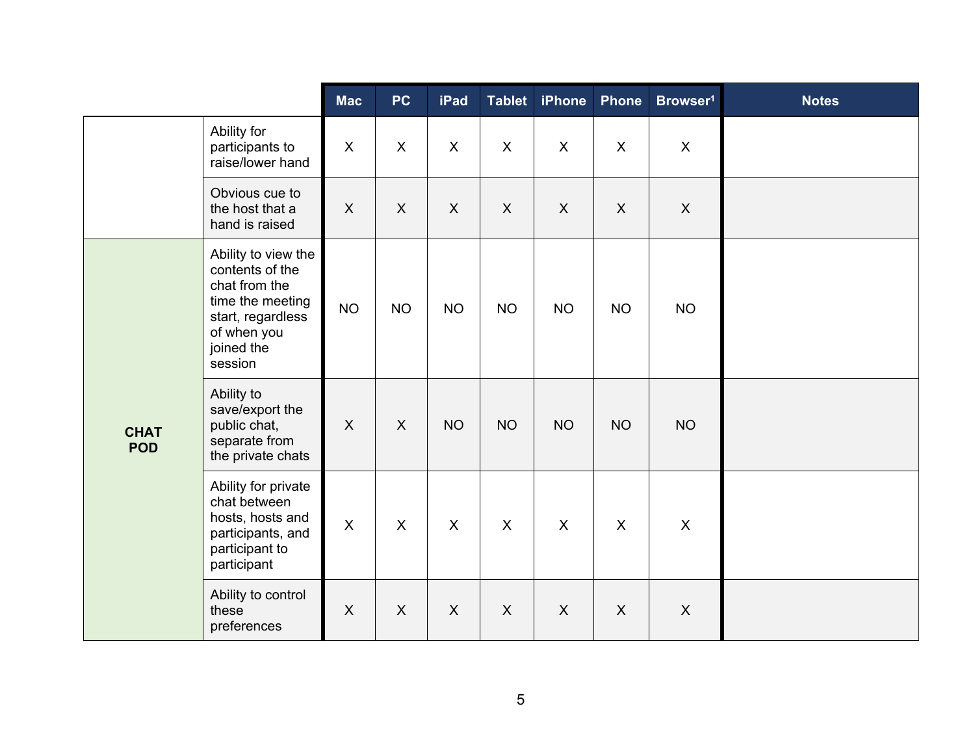|                           |                                                                                                                                          | <b>Mac</b>                | <b>PC</b>                 | <b>iPad</b>  | Tablet                    | <b>iPhone</b> | <b>Phone</b> | Browser <sup>1</sup> | <b>Notes</b> |
|---------------------------|------------------------------------------------------------------------------------------------------------------------------------------|---------------------------|---------------------------|--------------|---------------------------|---------------|--------------|----------------------|--------------|
|                           | Ability for<br>participants to<br>raise/lower hand                                                                                       | $\boldsymbol{\mathsf{X}}$ | $\mathsf{X}$              | $\mathsf{X}$ | $\mathsf{X}$              | $\mathsf{X}$  | $\mathsf{X}$ | $\mathsf{X}$         |              |
|                           | Obvious cue to<br>the host that a<br>hand is raised                                                                                      | $\boldsymbol{\mathsf{X}}$ | $\boldsymbol{\mathsf{X}}$ | $\mathsf{X}$ | $\boldsymbol{\mathsf{X}}$ | $\mathsf{X}$  | $\mathsf{X}$ | $\pmb{\times}$       |              |
| <b>CHAT</b><br><b>POD</b> | Ability to view the<br>contents of the<br>chat from the<br>time the meeting<br>start, regardless<br>of when you<br>joined the<br>session | <b>NO</b>                 | <b>NO</b>                 | <b>NO</b>    | <b>NO</b>                 | <b>NO</b>     | <b>NO</b>    | <b>NO</b>            |              |
|                           | Ability to<br>save/export the<br>public chat,<br>separate from<br>the private chats                                                      | $\sf X$                   | $\boldsymbol{X}$          | <b>NO</b>    | <b>NO</b>                 | <b>NO</b>     | <b>NO</b>    | <b>NO</b>            |              |
|                           | Ability for private<br>chat between<br>hosts, hosts and<br>participants, and<br>participant to<br>participant                            | $\pmb{\times}$            | $\mathsf{X}$              | $\mathsf{X}$ | $\boldsymbol{\mathsf{X}}$ | $\mathsf{X}$  | $\mathsf{X}$ | $\mathsf{X}$         |              |
|                           | Ability to control<br>these<br>preferences                                                                                               | $\mathsf{X}$              | $\mathsf{X}$              | $\mathsf{X}$ | X                         | X             | $\mathsf{X}$ | $\mathsf{X}$         |              |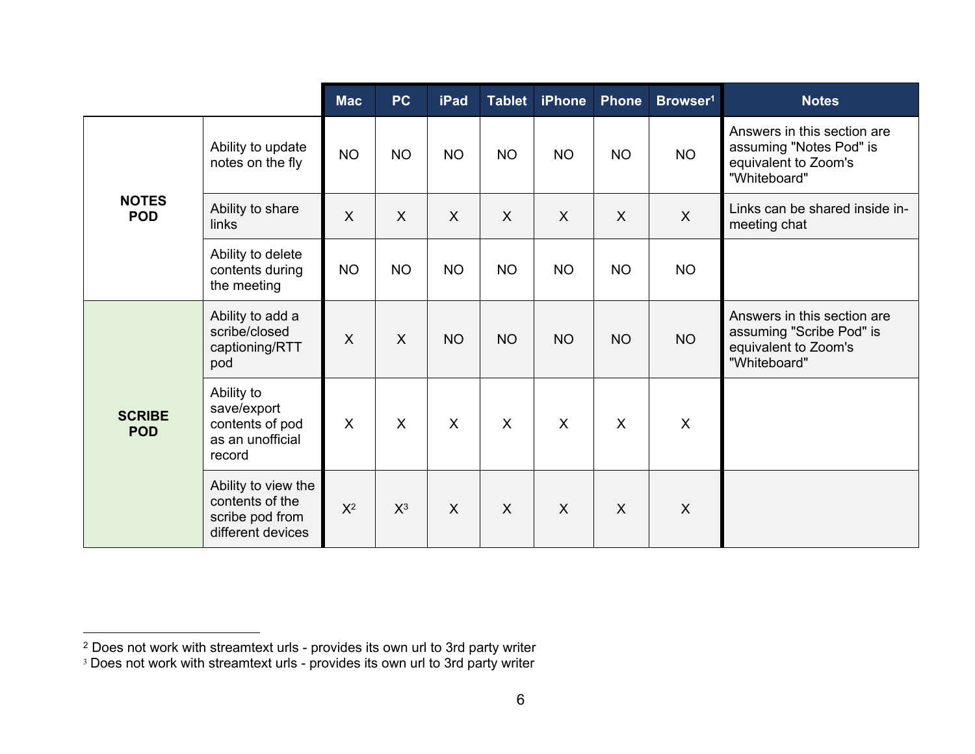|                             |                                                                                | <b>Mac</b>                | PC                        | <b>iPad</b>  | <b>Tablet</b> | <b>iPhone</b>           | <b>Phone</b> | Browser <sup>1</sup>      | <b>Notes</b>                                                                                    |
|-----------------------------|--------------------------------------------------------------------------------|---------------------------|---------------------------|--------------|---------------|-------------------------|--------------|---------------------------|-------------------------------------------------------------------------------------------------|
| <b>NOTES</b><br><b>POD</b>  | Ability to update<br>notes on the fly                                          | <b>NO</b>                 | <b>NO</b>                 | <b>NO</b>    | <b>NO</b>     | <b>NO</b>               | <b>NO</b>    | <b>NO</b>                 | Answers in this section are<br>assuming "Notes Pod" is<br>equivalent to Zoom's<br>"Whiteboard"  |
|                             | Ability to share<br>links                                                      | $\sf X$                   | $\sf X$                   | $\mathsf{X}$ | $\sf X$       | $\sf X$                 | X            | $\mathsf{X}$              | Links can be shared inside in-<br>meeting chat                                                  |
|                             | Ability to delete<br>contents during<br>the meeting                            | <b>NO</b>                 | <b>NO</b>                 | <b>NO</b>    | <b>NO</b>     | <b>NO</b>               | <b>NO</b>    | <b>NO</b>                 |                                                                                                 |
| <b>SCRIBE</b><br><b>POD</b> | Ability to add a<br>scribe/closed<br>captioning/RTT<br>pod                     | X                         | $\sf X$                   | <b>NO</b>    | <b>NO</b>     | <b>NO</b>               | <b>NO</b>    | <b>NO</b>                 | Answers in this section are<br>assuming "Scribe Pod" is<br>equivalent to Zoom's<br>"Whiteboard" |
|                             | Ability to<br>save/export<br>contents of pod<br>as an unofficial<br>record     | $\boldsymbol{\mathsf{X}}$ | $\boldsymbol{\mathsf{X}}$ | $\mathsf{X}$ | $\sf X$       | $\overline{\mathsf{X}}$ | X            | $\boldsymbol{\mathsf{X}}$ |                                                                                                 |
|                             | Ability to view the<br>contents of the<br>scribe pod from<br>different devices | $X^2$                     | $X^3$                     | $\mathsf{X}$ | $\sf X$       | $\sf X$                 | $\sf X$      | X                         |                                                                                                 |

<sup>2</sup> Does not work with streamtext urls - provides its own url to 3rd party writer

<sup>&</sup>lt;sup>3</sup> Does not work with streamtext urls - provides its own url to 3rd party writer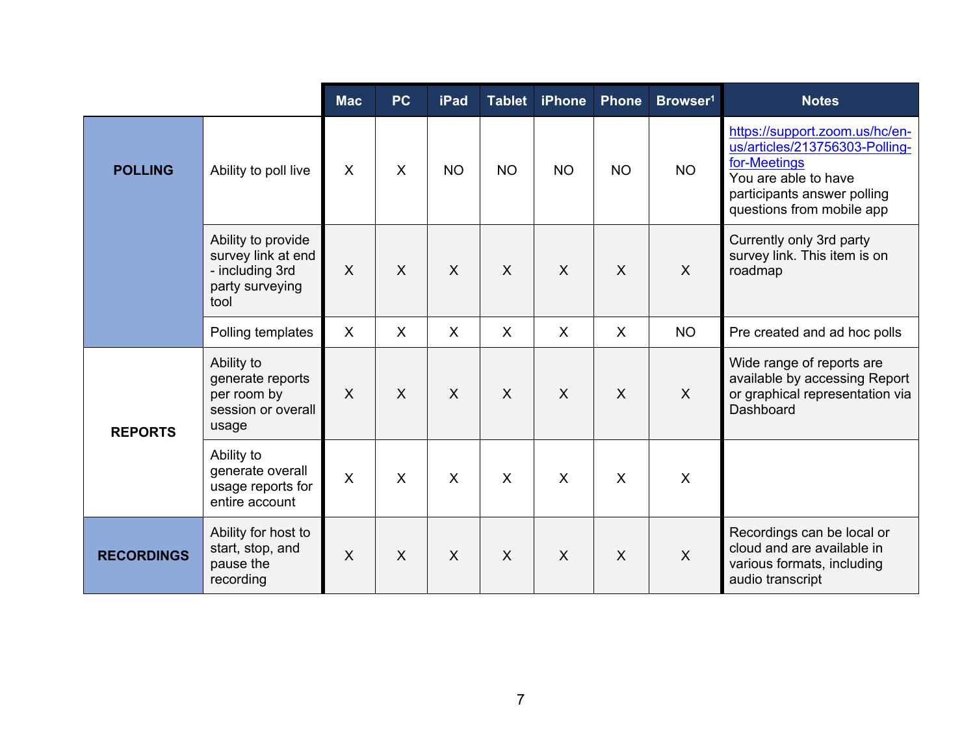|                   |                                                                                        | <b>Mac</b>                | <b>PC</b>    | <b>iPad</b>  | <b>Tablet</b> | <b>iPhone</b> | <b>Phone</b> | Browser <sup>1</sup> | <b>Notes</b>                                                                                                                                                         |
|-------------------|----------------------------------------------------------------------------------------|---------------------------|--------------|--------------|---------------|---------------|--------------|----------------------|----------------------------------------------------------------------------------------------------------------------------------------------------------------------|
| <b>POLLING</b>    | Ability to poll live                                                                   | $\boldsymbol{\mathsf{X}}$ | $\mathsf{X}$ | <b>NO</b>    | <b>NO</b>     | <b>NO</b>     | <b>NO</b>    | <b>NO</b>            | https://support.zoom.us/hc/en-<br>us/articles/213756303-Polling-<br>for-Meetings<br>You are able to have<br>participants answer polling<br>questions from mobile app |
|                   | Ability to provide<br>survey link at end<br>- including 3rd<br>party surveying<br>tool | $\sf X$                   | $\sf X$      | $\mathsf{X}$ | $\sf X$       | $\mathsf{X}$  | $\mathsf{X}$ | $\sf X$              | Currently only 3rd party<br>survey link. This item is on<br>roadmap                                                                                                  |
|                   | Polling templates                                                                      | $\sf X$                   | $\sf X$      | $\mathsf{X}$ | $\sf X$       | $\sf X$       | $\mathsf{X}$ | <b>NO</b>            | Pre created and ad hoc polls                                                                                                                                         |
| <b>REPORTS</b>    | Ability to<br>generate reports<br>per room by<br>session or overall<br>usage           | $\sf X$                   | $\sf X$      | $\mathsf{X}$ | $\sf X$       | $\mathsf{X}$  | $\mathsf{X}$ | $\sf X$              | Wide range of reports are<br>available by accessing Report<br>or graphical representation via<br>Dashboard                                                           |
|                   | Ability to<br>generate overall<br>usage reports for<br>entire account                  | $\sf X$                   | $\sf X$      | $\mathsf{X}$ | $\sf X$       | X             | $\sf X$      | $\sf X$              |                                                                                                                                                                      |
| <b>RECORDINGS</b> | Ability for host to<br>start, stop, and<br>pause the<br>recording                      | $\sf X$                   | $\sf X$      | $\sf X$      | $\sf X$       | $\sf X$       | $\mathsf{X}$ | $\sf X$              | Recordings can be local or<br>cloud and are available in<br>various formats, including<br>audio transcript                                                           |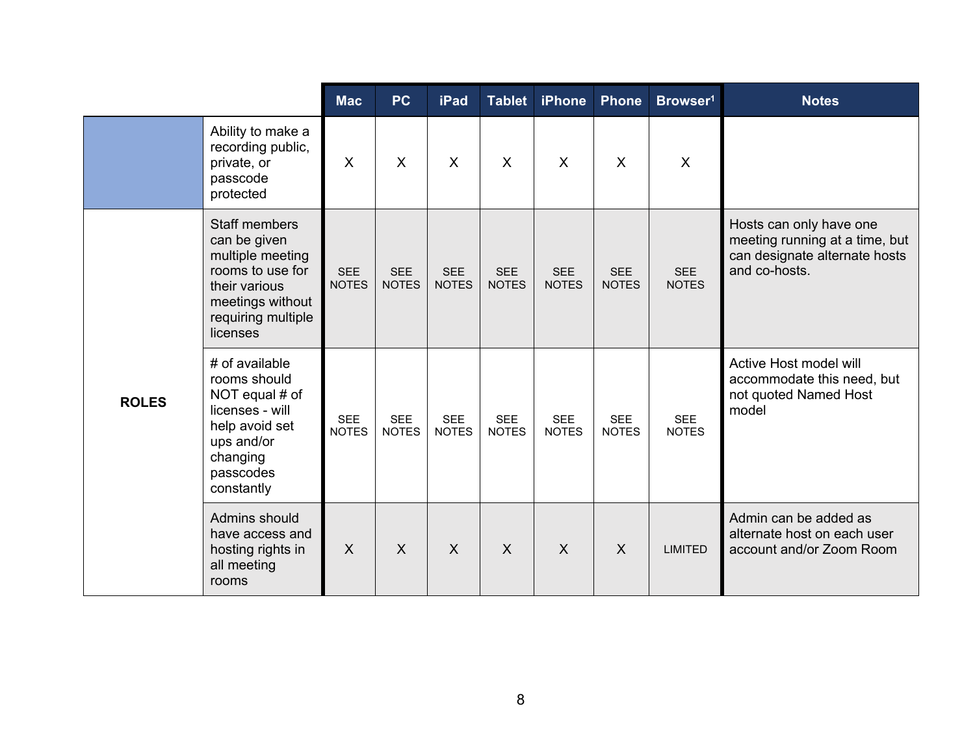|              |                                                                                                                                                     | <b>Mac</b>                 | <b>PC</b>                  | <b>iPad</b>                | <b>Tablet</b>              | <b>iPhone</b>              | <b>Phone</b>               | Browser <sup>1</sup>       | <b>Notes</b>                                                                                                |
|--------------|-----------------------------------------------------------------------------------------------------------------------------------------------------|----------------------------|----------------------------|----------------------------|----------------------------|----------------------------|----------------------------|----------------------------|-------------------------------------------------------------------------------------------------------------|
|              | Ability to make a<br>recording public,<br>private, or<br>passcode<br>protected                                                                      | $\sf X$                    | $\mathsf{X}$               | $\mathsf{X}$               | $\mathsf{X}$               | $\mathsf{X}$               | $\mathsf{X}$               | $\mathsf{X}$               |                                                                                                             |
|              | <b>Staff members</b><br>can be given<br>multiple meeting<br>rooms to use for<br>their various<br>meetings without<br>requiring multiple<br>licenses | <b>SEE</b><br><b>NOTES</b> | <b>SEE</b><br><b>NOTES</b> | <b>SEE</b><br><b>NOTES</b> | <b>SEE</b><br><b>NOTES</b> | <b>SEE</b><br><b>NOTES</b> | <b>SEE</b><br><b>NOTES</b> | <b>SEE</b><br><b>NOTES</b> | Hosts can only have one<br>meeting running at a time, but<br>can designate alternate hosts<br>and co-hosts. |
| <b>ROLES</b> | # of available<br>rooms should<br>NOT equal # of<br>licenses - will<br>help avoid set<br>ups and/or<br>changing<br>passcodes<br>constantly          | <b>SEE</b><br><b>NOTES</b> | <b>SEE</b><br><b>NOTES</b> | <b>SEE</b><br><b>NOTES</b> | <b>SEE</b><br><b>NOTES</b> | <b>SEE</b><br><b>NOTES</b> | <b>SEE</b><br><b>NOTES</b> | <b>SEE</b><br><b>NOTES</b> | Active Host model will<br>accommodate this need, but<br>not quoted Named Host<br>model                      |
|              | Admins should<br>have access and<br>hosting rights in<br>all meeting<br>rooms                                                                       | $\boldsymbol{\mathsf{X}}$  | X                          | $\overline{X}$             | $\overline{X}$             | $\sf X$                    | $\mathsf{X}$               | <b>LIMITED</b>             | Admin can be added as<br>alternate host on each user<br>account and/or Zoom Room                            |